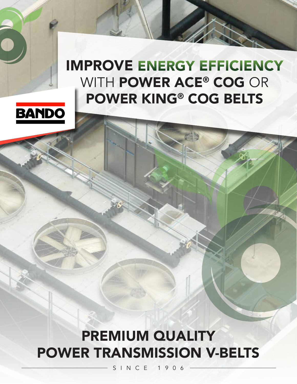# IMPROVE ENERGY EFFICIENCY WITH POWER ACE® COG OR POWER KING® COG BELTS



PREMIUM QUALITY POWER TRANSMISSION V-BELTS

 $SINC$  F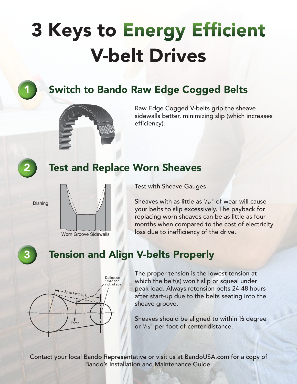# 3 Keys to Energy Efficient V-belt Drives

2

### **Switch to Bando Raw Edge Cogged Belts**



Raw Edge Cogged V-belts grip the sheave sidewalls better, minimizing slip (which increases efficiency).

### Test and Replace Worn Sheaves



Test with Sheave Gauges.

Sheaves with as little as  $\frac{1}{32}$ " of wear will cause your belts to slip excessively. The payback for replacing worn sheaves can be as little as four months when compared to the cost of electricity loss due to inefficiency of the drive.

3

### Tension and Align V-belts Properly



The proper tension is the lowest tension at which the belt(s) won't slip or squeal under peak load. Always retension belts 24-48 hours after start-up due to the belts seating into the sheave groove.

Sheaves should be aligned to within ½ degree or  $\frac{1}{10}$ " per foot of center distance.

Contact your local Bando Representative or visit us at BandoUSA.com for a copy of Bando's Installation and Maintenance Guide.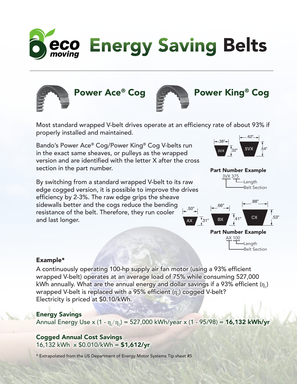







### Power Ace® Cog **But The Power King® Cog**

Most standard wrapped V-belt drives operate at an efficiency rate of about 93% if properly installed and maintained.

Bando's Power Ace® Cog/Power King® Cog V-belts run in the exact same sheaves, or pulleys as the wrapped version and are identified with the letter X after the cross section in the part number.

By switching from a standard wrapped V-belt to its raw edge cogged version, it is possible to improve the drives efficiency by 2-3%. The raw edge grips the sheave sidewalls better and the cogs reduce the bending resistance of the belt. Therefore, they run cooler and last longer.



#### Part Number Example 3VX 375



Length Belt Section



#### Example\*

A continuously operating 100-hp supply air fan motor (using a 93% efficient wrapped V-belt) operates at an average load of 75% while consuming 527,000 kWh annually. What are the annual energy and dollar savings if a 93% efficient ( $\eta_{1}$ ) wrapped V-belt is replaced with a 95% efficient ( $\mathfrak{q}_2$ ) cogged V-belt? Electricity is priced at \$0.10/kWh.

#### Energy Savings

Annual Energy Use x (1 -  $\eta_{_1}/\eta_{_2}$ ) = 527,000 kWh/year x (1 - 95/98) = **16,132 kWh/yr** 

#### Cogged Annual Cost Savings 16,132 kWh  $\times$  \$0.010/kWh = \$1,612/yr

\* Extrapolated from the US Department of Energy Motor Systems Tip sheet #5